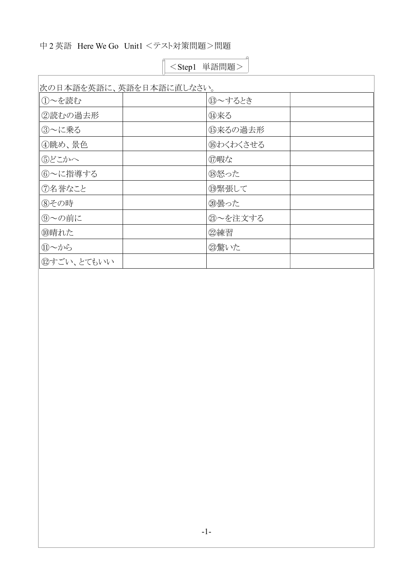## 中 2 英語 Here We Go Unit1 <テスト対策問題>問題

| 次の日本語を英語に、英語を日本語に直しなさい。 |                |  |
|-------------------------|----------------|--|
| ①~を読む                   | <b>13∼するとき</b> |  |
| 2読むの過去形                 | 14来る           |  |
| 3~に乗る                   | 15来るの過去形       |  |
| ④眺め、景色                  | 16わくわくさせる      |  |
| ⑤どこかへ                   | (7)暇な          |  |
| 6~に指導する                 | 18怒った          |  |
| ⑦名誉なこと                  | 19緊張して         |  |
| 8その時                    | 20曇った          |  |
| ⑨~の前に                   | 20~を注文する       |  |
| ⑩晴れた                    | 22練習           |  |
| ⑪~から                    | 23驚いた          |  |
| 12すごい、とてもいい             |                |  |

<Step1 単語問題>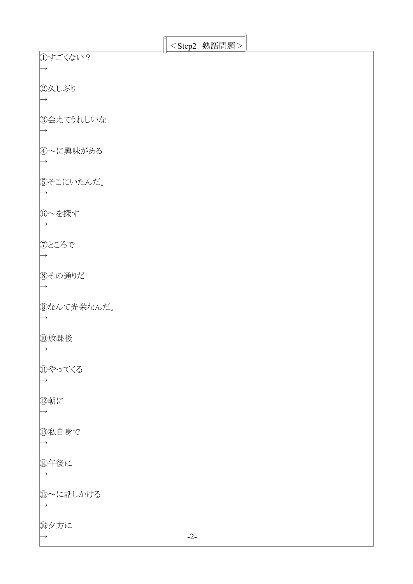|               |       | <step2 熟語問題=""></step2> |  |
|---------------|-------|-------------------------|--|
|               |       |                         |  |
| ①すごくない?       |       |                         |  |
|               |       |                         |  |
|               |       |                         |  |
| ②久しぶり         |       |                         |  |
|               |       |                         |  |
|               |       |                         |  |
|               |       |                         |  |
| ③会えてうれしいな     |       |                         |  |
|               |       |                         |  |
| $\rightarrow$ |       |                         |  |
|               |       |                         |  |
| 4~に興味がある      |       |                         |  |
|               |       |                         |  |
|               |       |                         |  |
|               |       |                         |  |
| 5そこにいたんだ。     |       |                         |  |
|               |       |                         |  |
|               |       |                         |  |
|               |       |                         |  |
| 6~を探す         |       |                         |  |
|               |       |                         |  |
|               |       |                         |  |
|               |       |                         |  |
| ⑦ところで         |       |                         |  |
|               |       |                         |  |
|               |       |                         |  |
|               |       |                         |  |
| 8その通りだ        |       |                         |  |
|               |       |                         |  |
|               |       |                         |  |
|               |       |                         |  |
| ⑨なんて光栄なんだ。    |       |                         |  |
|               |       |                         |  |
|               |       |                         |  |
| ⑩放課後          |       |                         |  |
|               |       |                         |  |
| $\rightarrow$ |       |                         |  |
|               |       |                         |  |
| ⑪やってくる        |       |                         |  |
|               |       |                         |  |
|               |       |                         |  |
|               |       |                         |  |
| 2朝に           |       |                         |  |
| $\rightarrow$ |       |                         |  |
|               |       |                         |  |
|               |       |                         |  |
| 13私自身で        |       |                         |  |
| $\rightarrow$ |       |                         |  |
|               |       |                         |  |
|               |       |                         |  |
| 14年後に         |       |                         |  |
| $\rightarrow$ |       |                         |  |
|               |       |                         |  |
|               |       |                         |  |
| 15~に話しかける     |       |                         |  |
| $\rightarrow$ |       |                         |  |
|               |       |                         |  |
|               |       |                         |  |
| 16夕方に         |       |                         |  |
| $\rightarrow$ | $-2-$ |                         |  |
|               |       |                         |  |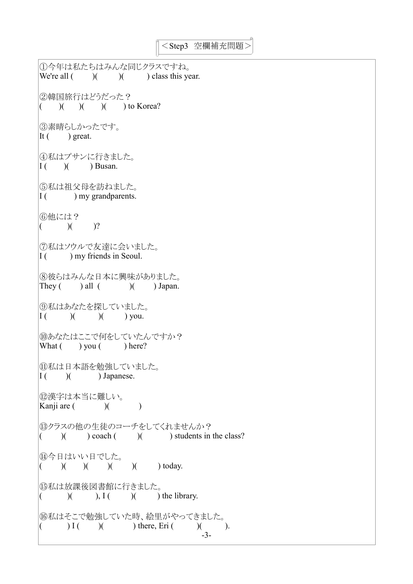```
①今年は私たちはみんな同じクラスですね。
We're all ( )) ) ( ) class this year.
②韓国旅行はどうだった?
( ) ( ) ( ) ( ) ( ) ( ) to Korea?
③素晴らしかったです。
It ( ) great.
④私はプサンに行きました。
\begin{bmatrix} 1 & (1) & (1) \end{bmatrix} Busan.
⑤私は祖父母を訪ねました。
I(\cdot) my grandparents.
⑥他には?
( )( )?
⑦私はソウルで友達に会いました。
\begin{bmatrix} 1 \end{bmatrix} ( ) my friends in Seoul.
⑧彼らはみんな日本に興味がありました。
They ( ) all ( ) ) Japan.
⑨私はあなたを探していました。
\begin{array}{ccc} \n\boxed{I} & ( & ) & \n\end{array} ( ) you.
⑩あなたはここで何をしていたんですか?
What ( ) you ( ) here?
⑪私は日本語を勉強していました。
I(\ ) ( ) Japanese.
⑫漢字は本当に難しい。
Kanji are ( ) ( )⑬クラスの他の生徒のコーチをしてくれませんか?
( )( ) coach ( )( ) students in the class?
⑭今日はいい日でした。
( ) ( ) ( ) ( ) ( ) ( ) (boday.
⑮私は放課後図書館に行きました。
( )( ), I ( ) ( ) the library.
⑯私はそこで勉強していた時、絵里がやってきました。
( ) I ( ) ( ) there, Eri ( ) ( ).
                                 -3-
```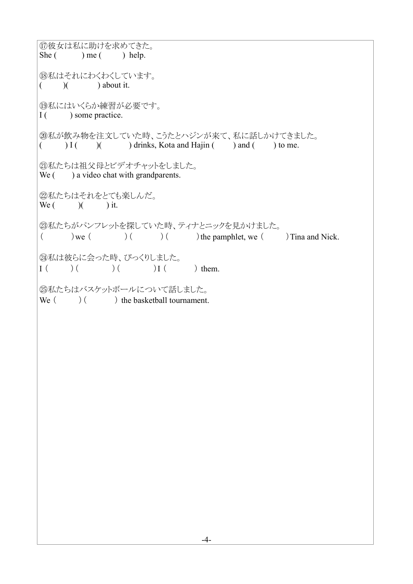⑰彼女は私に助けを求めてきた。 She  $($  ) me  $($  ) help. ⑱私はそれにわくわくしています。  $($  )( ) about it. ⑲私にはいくらか練習が必要です。 I ( ) some practice. ⑳私が飲み物を注文していた時、こうたとハジンが来て、私に話しかけてきました。  $( ) I( )$  ( ) drinks, Kota and Hajin ( ) and ( ) to me. ㉑私たちは祖父母とビデオチャットをしました。 We  $($ ) a video chat with grandparents. ②私たちはそれをとても楽しんだ。 We  $($   $)$  $($   $)$  it. ㉓私たちがパンフレットを探していた時、ティナとニックを見かけました。  $(\ )$  we  $(\ )$  (  $)$  (  $)$  the pamphlet, we  $(\ )$  Tina and Nick. ㉔私は彼らに会った時、びっくりしました。  $I \left( \begin{array}{cc} \begin{array}{cc} \end{array} \end{array} \right) \left( \begin{array}{cc} \end{array} \right) \left( \begin{array}{cc} \end{array} \right) I \left( \begin{array}{cc} \end{array} \right)$  them. ㉕私たちはバスケットボールについて話しました。 We  $($   $)$   $($   $)$  the basketball tournament.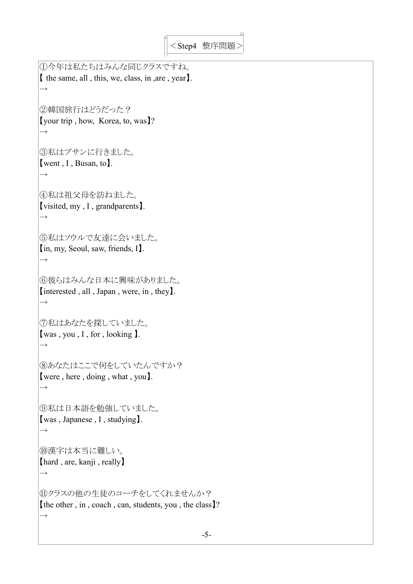```
①今年は私たちはみんな同じクラスですね。
【 the same, all , this, we, class, in ,are , year】.
\rightarrow②韓国旅行はどうだった?
【your trip , how, Korea, to, was】?
\rightarrow③私はプサンに行きました。
【went , I , Busan, to】.
\rightarrow④私は祖父母を訪ねました。
【visited, my , I , grandparents】.
\rightarrow⑤私はソウルで友達に会いました。
【in, my, Seoul, saw, friends, I】.
\rightarrow⑥彼らはみんな日本に興味がありました。
【interested , all , Japan , were, in , they】.
\rightarrow⑦私はあなたを探していました。
【was , you , I , for , looking 】.
\rightarrow⑧あなたはここで何をしていたんですか?
【were , here , doing , what , you】.
\rightarrow⑨私は日本語を勉強していました。
【was , Japanese , I , studying】.
\rightarrow⑩漢字は本当に難しい。
【hard , are, kanji , really】
\rightarrow⑪クラスの他の生徒のコーチをしてくれませんか?
【the other , in , coach , can, students, you , the class】?
\rightarrow
```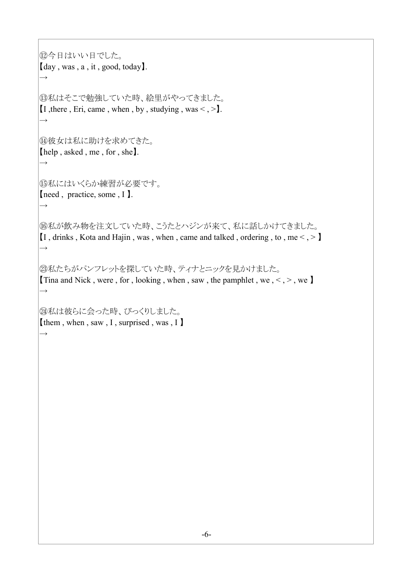```
⑫今日はいい日でした。
【day , was , a , it , good, today】.
 \rightarrow⑬私はそこで勉強していた時、絵里がやってきました。
[I, there, Eri, came, when, by, studying, was \lt, >].
\rightarrow⑭彼女は私に助けを求めてきた。
【help , asked , me , for , she】.
\rightarrow⑮私にはいくらか練習が必要です。
【need , practice, some , I 】.
\rightarrow⑯私が飲み物を注文していた時、こうたとハジンが来て、私に話しかけてきました。
\left[1, \frac{\text{drinks}}{\text{cos } \theta}, \frac{\text{Kota and Hajin}}{\text{cos } \theta}, \frac{\text{wben}}{\text{cos } \theta}, \frac{\text{cane and talked}}{\text{cos } \theta}, \frac{\text{coker}}{\text{cos } \theta}, \frac{\text{coker}}{\text{cos } \theta}, \frac{\text{coker}}{\text{cos } \theta}, \frac{\text{coker}}{\text{cos } \theta}, \frac{\text{coker}}{\text{cos } \theta}, \frac{\text{coker}}{\text{cos } \theta}, \frac{\text{coker}}{\text{cos } \theta}, \frac{\text{coker}}{\text{cos } \theta}, \frac{\text{coker}}{\text{cos } \theta\rightarrow㉓私たちがパンフレットを探していた時、ティナとニックを見かけました。
Tina and Nick, were, for, looking, when, saw, the pamphlet, we, \lt, >, we
\rightarrow㉔私は彼らに会った時、びっくりしました。
【them , when , saw , I , surprised , was , I 】
\rightarrow
```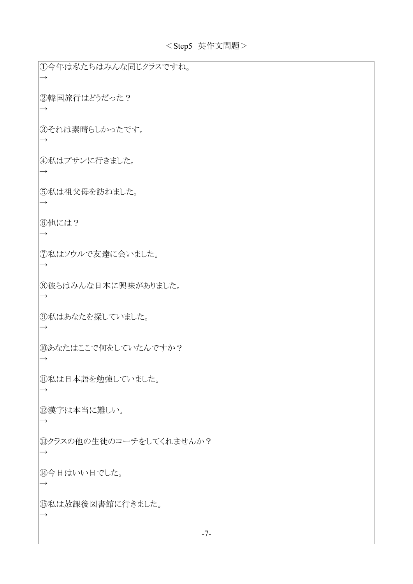①今年は私たちはみんな同じクラスですね。  $\rightarrow$ ②韓国旅行はどうだった?  $\rightarrow$ ③それは素晴らしかったです。  $\rightarrow$ ④私はプサンに行きました。  $\rightarrow$ ⑤私は祖父母を訪ねました。  $\rightarrow$ ⑥他には?  $\rightarrow$ ⑦私はソウルで友達に会いました。  $\rightarrow$ ⑧彼らはみんな日本に興味がありました。  $\rightarrow$ ⑨私はあなたを探していました。  $\rightarrow$ ⑩あなたはここで何をしていたんですか?  $\rightarrow$ ⑪私は日本語を勉強していました。  $\rightarrow$ ⑫漢字は本当に難しい。  $\rightarrow$ ⑬クラスの他の生徒のコーチをしてくれませんか?  $\rightarrow$ ⑭今日はいい日でした。  $\rightarrow$ ⑮私は放課後図書館に行きました。  $\rightarrow$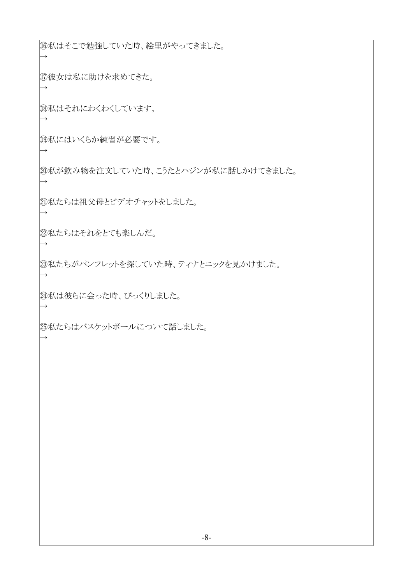⑯私はそこで勉強していた時、絵里がやってきました。

⑰彼女は私に助けを求めてきた。

 $\rightarrow$ 

 $\rightarrow$ 

 $\rightarrow$ 

 $\rightarrow$ 

 $\rightarrow$ 

→

→

 $\rightarrow$ 

 $\rightarrow$ 

 $\rightarrow$ 

⑱私はそれにわくわくしています。

⑲私にはいくらか練習が必要です。

⑳私が飲み物を注文していた時、こうたとハジンが私に話しかけてきました。

㉑私たちは祖父母とビデオチャットをしました。

22私たちはそれをとても楽しんだ。

㉓私たちがパンフレットを探していた時、ティナとニックを見かけました。

㉔私は彼らに会った時、びっくりしました。

㉕私たちはバスケットボールについて話しました。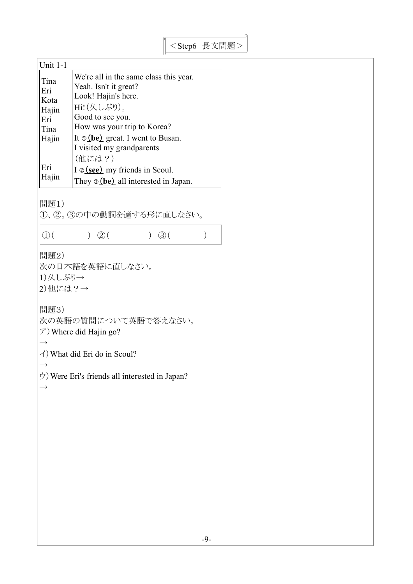| Unit $1-1$ |                                                                                |
|------------|--------------------------------------------------------------------------------|
| Tina       | We're all in the same class this year.                                         |
| Eri        | Yeah. Isn't it great?                                                          |
| Kota       | Look! Hajin's here.                                                            |
| Hajin      | Hi!(久しぶり).                                                                     |
| Eri        | Good to see you.                                                               |
| Tina       | How was your trip to Korea?                                                    |
| Hajin      | It $\circ$ (be) great. I went to Busan.<br>I visited my grandparents<br>(他には?) |
| Eri        | I $\circ$ (see) my friends in Seoul.                                           |
| Hajin      | They $\circ$ (be) all interested in Japan.                                     |

問題1)

①、②。③の中の動詞を適する形に直しなさい。

 $\boxed{0}$  ( )  $\boxed{2}$  ( )  $\boxed{3}$  ( )

問題2)

次の日本語を英語に直しなさい。 1)久しぶり→ 2)他には?→

問題3)

次の英語の質問について英語で答えなさい。

ア)Where did Hajin go?

 $\rightarrow$ 

イ)What did Eri do in Seoul?

 $\rightarrow$ 

 $\rightarrow$ 

ウ)Were Eri's friends all interested in Japan?

-9-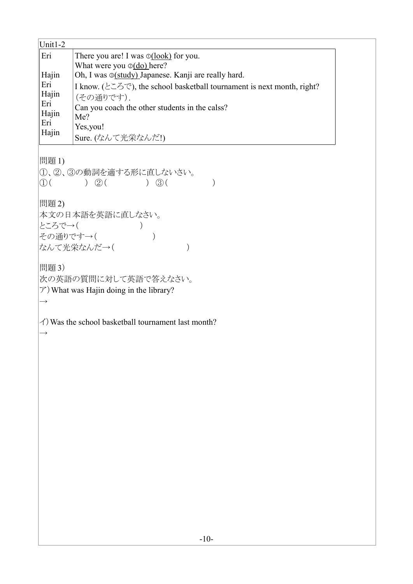| Unit1-2       |                                                                                                                                              |  |  |  |  |
|---------------|----------------------------------------------------------------------------------------------------------------------------------------------|--|--|--|--|
| Eri           | There you are! I was $\mathcal{O}(\text{look})$ for you.<br>What were you $\mathcal{O}(\underline{do})$ here?                                |  |  |  |  |
| Hajin         | Oh, I was <b>S(study)</b> Japanese. Kanji are really hard.                                                                                   |  |  |  |  |
| Eri           | I know. (ところで), the school basketball tournament is next month, right?<br>(その通りです).<br>Can you coach the other students in the calss?<br>Me? |  |  |  |  |
| Hajin<br>Eri  |                                                                                                                                              |  |  |  |  |
| Hajin         |                                                                                                                                              |  |  |  |  |
| Eri           |                                                                                                                                              |  |  |  |  |
| Hajin         | Yes,you!                                                                                                                                     |  |  |  |  |
|               | Sure. (なんて光栄なんだ!)                                                                                                                            |  |  |  |  |
| 問題 1)         |                                                                                                                                              |  |  |  |  |
|               | 1、2、3の動詞を適する形に直しないさい。                                                                                                                        |  |  |  |  |
|               | ( ) ( ) ( ) ( ) ( ) ( ) ( ) ( ) ( )                                                                                                          |  |  |  |  |
|               |                                                                                                                                              |  |  |  |  |
| 問題 2)         |                                                                                                                                              |  |  |  |  |
|               | 本文の日本語を英語に直しなさい。                                                                                                                             |  |  |  |  |
|               | ところで→( )                                                                                                                                     |  |  |  |  |
|               | その通りです→(                                                                                                                                     |  |  |  |  |
|               | なんて光栄なんだ→(                                                                                                                                   |  |  |  |  |
|               |                                                                                                                                              |  |  |  |  |
| 問題 3)         |                                                                                                                                              |  |  |  |  |
|               | 次の英語の質問に対して英語で答えなさい。                                                                                                                         |  |  |  |  |
|               | $\mathcal{F}$ ) What was Hajin doing in the library?                                                                                         |  |  |  |  |
| $\rightarrow$ |                                                                                                                                              |  |  |  |  |
|               | $\angle$ ) Was the school basketball tournament last month?                                                                                  |  |  |  |  |
| $\rightarrow$ |                                                                                                                                              |  |  |  |  |
|               |                                                                                                                                              |  |  |  |  |
|               |                                                                                                                                              |  |  |  |  |
|               |                                                                                                                                              |  |  |  |  |
|               |                                                                                                                                              |  |  |  |  |
|               |                                                                                                                                              |  |  |  |  |
|               |                                                                                                                                              |  |  |  |  |
|               |                                                                                                                                              |  |  |  |  |
|               |                                                                                                                                              |  |  |  |  |
|               |                                                                                                                                              |  |  |  |  |
|               |                                                                                                                                              |  |  |  |  |
|               |                                                                                                                                              |  |  |  |  |
|               |                                                                                                                                              |  |  |  |  |
|               |                                                                                                                                              |  |  |  |  |
|               |                                                                                                                                              |  |  |  |  |
|               |                                                                                                                                              |  |  |  |  |
|               |                                                                                                                                              |  |  |  |  |
|               |                                                                                                                                              |  |  |  |  |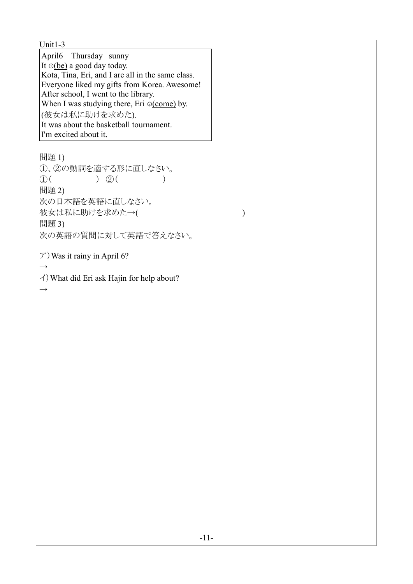$\overline{\text{Unit1-3}}$ April6 Thursday sunny It  $\Phi$ (be) a good day today. Kota, Tina, Eri, and I are all in the same class. Everyone liked my gifts from Korea. Awesome! After school, I went to the library. When I was studying there, Eri  $\circ$  (come) by. (彼女は私に助けを求めた). It was about the basketball tournament. I'm excited about it. 問題 1) ①、②の動詞を適する形に直しなさい。  $(1)$  ( )  $(2)$  ( ) 問題 2) 次の日本語を英語に直しなさい。 彼女は私に助けを求めた→( ) 問題 3) 次の英語の質問に対して英語で答えなさい。  $\mathcal{F}$ ) Was it rainy in April 6?  $\rightarrow$ イ)What did Eri ask Hajin for help about?  $\rightarrow$